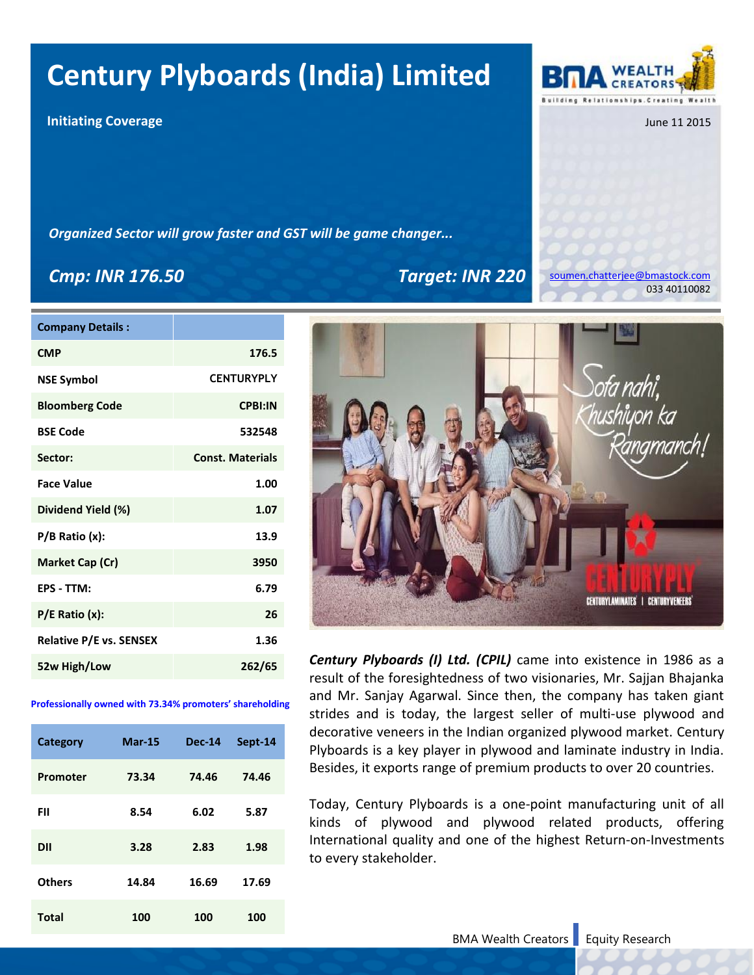## **Century Plyboards (India) Limited**

**Initiating Coverage** 

*Organized Sector will grow faster and GST will be game changer...*

## *Cmp: INR 176.50 Target: INR 220*

| <b>Company Details:</b> |                         |
|-------------------------|-------------------------|
| <b>CMP</b>              | 176.5                   |
| <b>NSE Symbol</b>       | <b>CENTURYPLY</b>       |
| <b>Bloomberg Code</b>   | <b>CPBI:IN</b>          |
| <b>BSE Code</b>         | 532548                  |
| Sector:                 | <b>Const. Materials</b> |
| <b>Face Value</b>       | 1.00                    |
| Dividend Yield (%)      | 1.07                    |
| $P/B$ Ratio $(x)$ :     | 13.9                    |
| Market Cap (Cr)         | 3950                    |
| EPS - TTM:              | 6.79                    |
| $P/E$ Ratio $(x)$ :     | 26                      |
| Relative P/E vs. SENSEX | 1.36                    |
| 52w High/Low            | 262/65                  |

#### **Professionally owned with 73.34% promoters' shareholding**

| Category      | <b>Mar-15</b> | <b>Dec-14</b> | Sept-14 |
|---------------|---------------|---------------|---------|
| Promoter      | 73.34         | 74.46         | 74.46   |
| FII           | 8.54          | 6.02          | 5.87    |
| <b>DII</b>    | 3.28          | 2.83          | 1.98    |
| <b>Others</b> | 14.84         | 16.69         | 17.69   |
| <b>Total</b>  | 100           | 100           | 100     |

[soumen.chatterjee@bmastock.com](mailto:soumen.chatterjee@bmastock.com) 033 40110082

**CENTURYLAMINATES' | CENTURYVENEERS** *Century Plyboards (I) Ltd. (CPIL)* came into existence in 1986 as a

result of the foresightedness of two visionaries, Mr. Sajjan Bhajanka and Mr. Sanjay Agarwal. Since then, the company has taken giant strides and is today, the largest seller of multi-use plywood and decorative veneers in the Indian organized plywood market. Century Plyboards is a key player in plywood and laminate industry in India. Besides, it exports range of premium products to over 20 countries.

Today, Century Plyboards is a one-point manufacturing unit of all kinds of plywood and plywood related products, offering International quality and one of the highest Return-on-Investments to every stakeholder.

#### BMA Wealth Creators Equity Research



June 11 2015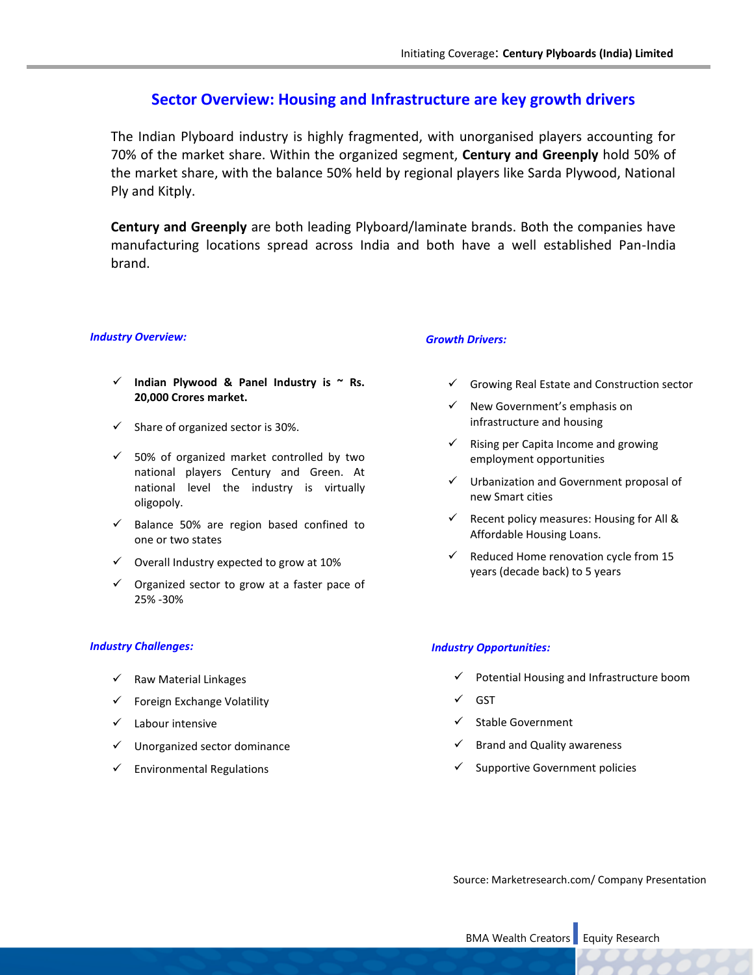## **Sector Overview: Housing and Infrastructure are key growth drivers**

The Indian Plyboard industry is highly fragmented, with unorganised players accounting for 70% of the market share. Within the organized segment, **Century and Greenply** hold 50% of the market share, with the balance 50% held by regional players like Sarda Plywood, National Ply and Kitply.

**Century and Greenply** are both leading Plyboard/laminate brands. Both the companies have manufacturing locations spread across India and both have a well established Pan-India brand.

#### *Industry Overview:*

- **Indian Plywood & Panel Industry is ~ Rs. 20,000 Crores market.**
- $\checkmark$  Share of organized sector is 30%.
- $\checkmark$  50% of organized market controlled by two national players Century and Green. At national level the industry is virtually oligopoly.
- $\checkmark$  Balance 50% are region based confined to one or two states
- $\checkmark$  Overall Industry expected to grow at 10%
- $\checkmark$  Organized sector to grow at a faster pace of 25% -30%

#### *Industry Challenges:*

- $\checkmark$  Raw Material Linkages
- $\checkmark$  Foreign Exchange Volatility
- $\checkmark$  Labour intensive
- $\checkmark$  Unorganized sector dominance
- $\checkmark$  Environmental Regulations

#### *Growth Drivers:*

- $\checkmark$  Growing Real Estate and Construction sector
- $\checkmark$  New Government's emphasis on infrastructure and housing
- $\checkmark$  Rising per Capita Income and growing employment opportunities
- $\checkmark$  Urbanization and Government proposal of new Smart cities
- $\checkmark$  Recent policy measures: Housing for All & Affordable Housing Loans.
- $\checkmark$  Reduced Home renovation cycle from 15 years (decade back) to 5 years

#### *Industry Opportunities:*

- $\checkmark$  Potential Housing and Infrastructure boom
- $\checkmark$  GST
- $\checkmark$  Stable Government
- $\checkmark$  Brand and Quality awareness
- $\checkmark$  Supportive Government policies

Source: Marketresearch.com/ Company Presentation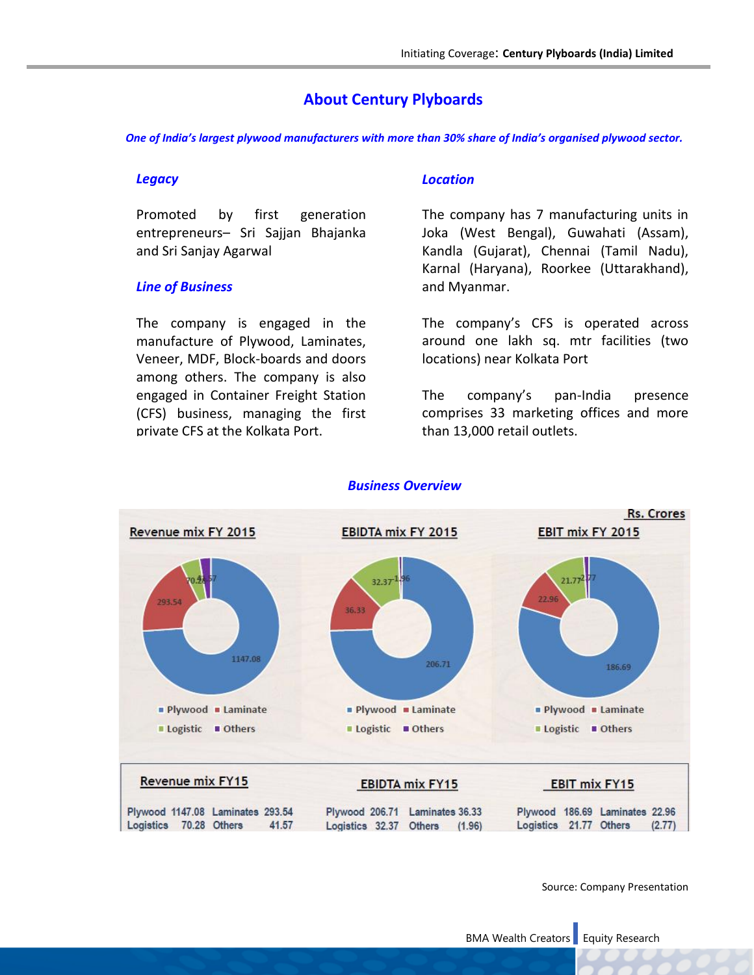## **About Century Plyboards**

*One of India's largest plywood manufacturers with more than 30% share of India's organised plywood sector.*

#### *Legacy*

Promoted by first generation entrepreneurs– Sri Sajjan Bhajanka and Sri Sanjay Agarwal

#### *Line of Business*

The company is engaged in the manufacture of Plywood, Laminates, Veneer, MDF, Block-boards and doors among others. The company is also engaged in Container Freight Station (CFS) business, managing the first private CFS at the Kolkata Port.

### *Location*

The company has 7 manufacturing units in Joka (West Bengal), Guwahati (Assam), Kandla (Gujarat), Chennai (Tamil Nadu), Karnal (Haryana), Roorkee (Uttarakhand), and Myanmar.

The company's CFS is operated across around one lakh sq. mtr facilities (two locations) near Kolkata Port

The company's pan-India presence comprises 33 marketing offices and more than 13,000 retail outlets.



## *Business Overview*

Source: Company Presentation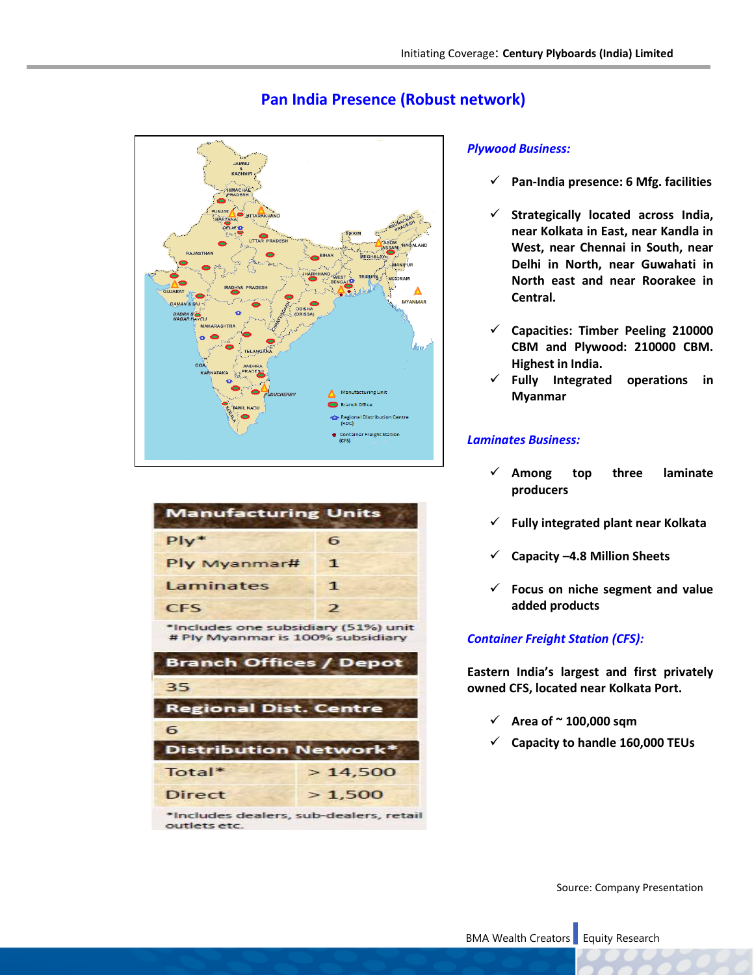

| Pan India Presence (Robust network) |  |
|-------------------------------------|--|
|-------------------------------------|--|

| <b>Manufacturing Units</b>                                              |               |
|-------------------------------------------------------------------------|---------------|
| $P*$                                                                    | 6             |
| Ply Myanmar#                                                            | 1             |
| Laminates                                                               | 1             |
| <b>CFS</b>                                                              | $\mathcal{P}$ |
| *Includes one subsidiary (51%) unit<br># Ply Myanmar is 100% subsidiary |               |
| <b>Branch Offices / Depot</b>                                           |               |
| 35                                                                      |               |
| <b>Regional Dist. Centre</b>                                            |               |
| 6                                                                       |               |
| Distribution Network*                                                   |               |
| Total*                                                                  | >14,500       |
| Direct                                                                  | >1,500        |
|                                                                         |               |

\*Includes dealers, sub-dealers, retail outlets etc.

## *Plywood Business:*

- **Pan-India presence: 6 Mfg. facilities**
- **Strategically located across India, near Kolkata in East, near Kandla in West, near Chennai in South, near Delhi in North, near Guwahati in North east and near Roorakee in Central.**
- **Capacities: Timber Peeling 210000 CBM and Plywood: 210000 CBM. Highest in India.**
- **Fully Integrated operations in Myanmar**

### *Laminates Business:*

- **Among top three laminate producers**
- **Fully integrated plant near Kolkata**
- **Capacity –4.8 Million Sheets**
- **Focus on niche segment and value added products**

## *Container Freight Station (CFS):*

**Eastern India's largest and first privately owned CFS, located near Kolkata Port.**

- $\checkmark$  Area of  $\sim$  100,000 sqm
- **Capacity to handle 160,000 TEUs**

Source: Company Presentation

BMA Wealth Creators Equity Research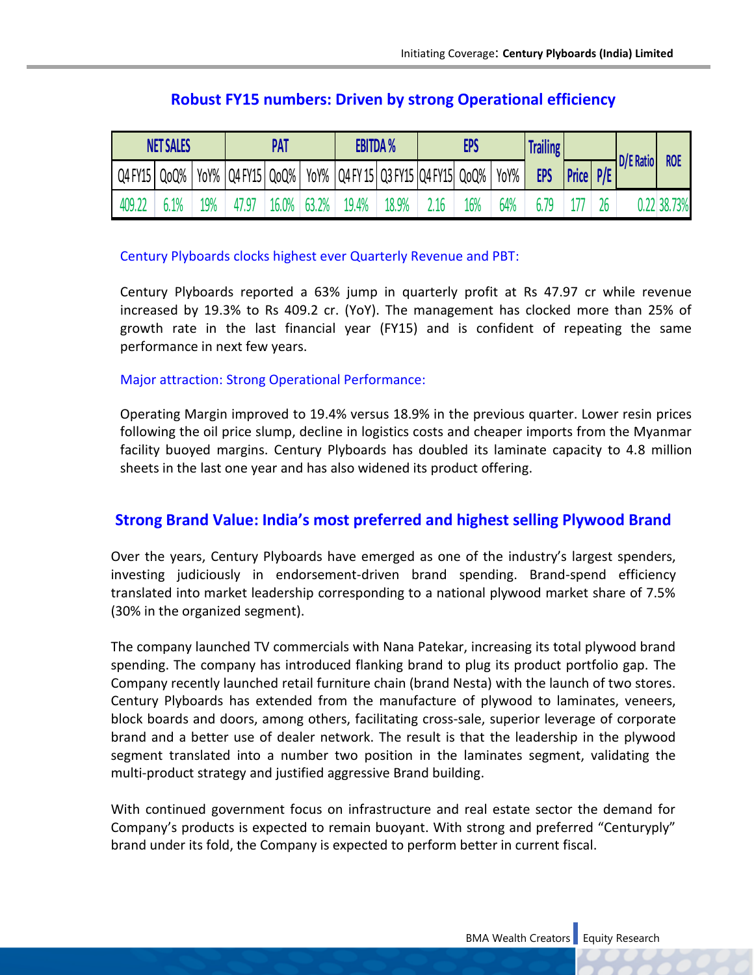| <b>NET SALES</b> |      | PAT |                       | <b>EBITDA %</b> |       | <b>EPS</b>                                 |       | <b>Trailing</b> |     |      |            |              |     |           |            |
|------------------|------|-----|-----------------------|-----------------|-------|--------------------------------------------|-------|-----------------|-----|------|------------|--------------|-----|-----------|------------|
| Q4 FY15          | QoQ% |     | YoY%   Q4 FY15   QoQ% |                 |       | YoY%   Q4 FY 15   Q3 FY15   Q4 FY15   QoQ% |       |                 |     | YoY% | <b>EPS</b> | <b>Price</b> | P/E | D/E Ratio | <b>ROE</b> |
| 409.22           |      | 19% |                       | 16.0%           | 63.2% | 19.4%                                      | 18.9% | 2.16            | 16% | 64%  | 6 79       |              | 26  |           | 22 38.73%  |

## **Robust FY15 numbers: Driven by strong Operational efficiency**

## Century Plyboards clocks highest ever Quarterly Revenue and PBT:

Century Plyboards reported a 63% jump in quarterly profit at Rs 47.97 cr while revenue increased by 19.3% to Rs 409.2 cr. (YoY). The management has clocked more than 25% of growth rate in the last financial year (FY15) and is confident of repeating the same performance in next few years.

## Major attraction: Strong Operational Performance:

Operating Margin improved to 19.4% versus 18.9% in the previous quarter. Lower resin prices following the oil price slump, decline in logistics costs and cheaper imports from the Myanmar facility buoyed margins. Century Plyboards has doubled its laminate capacity to 4.8 million sheets in the last one year and has also widened its product offering.

## **Strong Brand Value: India's most preferred and highest selling Plywood Brand**

Over the years, Century Plyboards have emerged as one of the industry's largest spenders, investing judiciously in endorsement-driven brand spending. Brand-spend efficiency translated into market leadership corresponding to a national plywood market share of 7.5% (30% in the organized segment).

The company launched TV commercials with Nana Patekar, increasing its total plywood brand spending. The company has introduced flanking brand to plug its product portfolio gap. The Company recently launched retail furniture chain (brand Nesta) with the launch of two stores. Century Plyboards has extended from the manufacture of plywood to laminates, veneers, block boards and doors, among others, facilitating cross-sale, superior leverage of corporate brand and a better use of dealer network. The result is that the leadership in the plywood segment translated into a number two position in the laminates segment, validating the multi-product strategy and justified aggressive Brand building.

With continued government focus on infrastructure and real estate sector the demand for Company's products is expected to remain buoyant. With strong and preferred "Centuryply" brand under its fold, the Company is expected to perform better in current fiscal.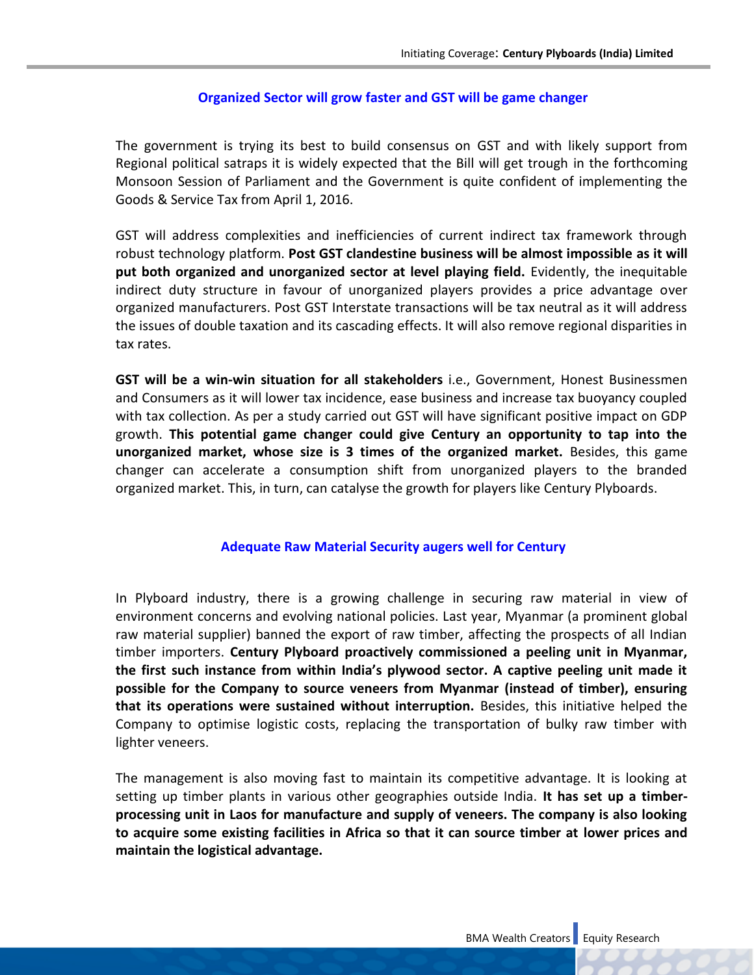## **Organized Sector will grow faster and GST will be game changer**

The government is trying its best to build consensus on GST and with likely support from Regional political satraps it is widely expected that the Bill will get trough in the forthcoming Monsoon Session of Parliament and the Government is quite confident of implementing the Goods & Service Tax from April 1, 2016.

GST will address complexities and inefficiencies of current indirect tax framework through robust technology platform. **Post GST clandestine business will be almost impossible as it will put both organized and unorganized sector at level playing field.** Evidently, the inequitable indirect duty structure in favour of unorganized players provides a price advantage over organized manufacturers. Post GST Interstate transactions will be tax neutral as it will address the issues of double taxation and its cascading effects. It will also remove regional disparities in tax rates.

**GST will be a win-win situation for all stakeholders** i.e., Government, Honest Businessmen and Consumers as it will lower tax incidence, ease business and increase tax buoyancy coupled with tax collection. As per a study carried out GST will have significant positive impact on GDP growth. **This potential game changer could give Century an opportunity to tap into the unorganized market, whose size is 3 times of the organized market.** Besides, this game changer can accelerate a consumption shift from unorganized players to the branded organized market. This, in turn, can catalyse the growth for players like Century Plyboards.

#### **Adequate Raw Material Security augers well for Century**

In Plyboard industry, there is a growing challenge in securing raw material in view of environment concerns and evolving national policies. Last year, Myanmar (a prominent global raw material supplier) banned the export of raw timber, affecting the prospects of all Indian timber importers. **Century Plyboard proactively commissioned a peeling unit in Myanmar, the first such instance from within India's plywood sector. A captive peeling unit made it possible for the Company to source veneers from Myanmar (instead of timber), ensuring that its operations were sustained without interruption.** Besides, this initiative helped the Company to optimise logistic costs, replacing the transportation of bulky raw timber with lighter veneers.

The management is also moving fast to maintain its competitive advantage. It is looking at setting up timber plants in various other geographies outside India. **It has set up a timberprocessing unit in Laos for manufacture and supply of veneers. The company is also looking to acquire some existing facilities in Africa so that it can source timber at lower prices and maintain the logistical advantage.**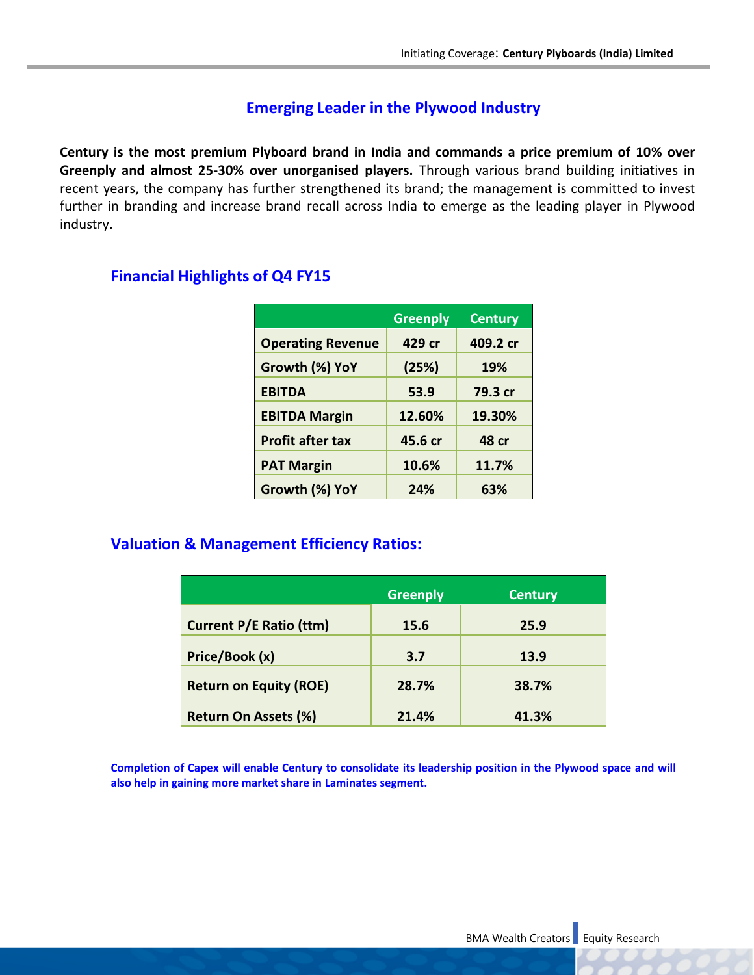## **Emerging Leader in the Plywood Industry**

**Century is the most premium Plyboard brand in India and commands a price premium of 10% over Greenply and almost 25-30% over unorganised players.** Through various brand building initiatives in recent years, the company has further strengthened its brand; the management is committed to invest further in branding and increase brand recall across India to emerge as the leading player in Plywood industry.

## **Financial Highlights of Q4 FY15**

|                          | <b>Greenply</b> | <b>Century</b> |
|--------------------------|-----------------|----------------|
| <b>Operating Revenue</b> | 429 cr          | 409.2 cr       |
| Growth (%) YoY           | (25%)           | 19%            |
| <b>EBITDA</b>            | 53.9            | 79.3 cr        |
| <b>EBITDA Margin</b>     | 12.60%          | 19.30%         |
| <b>Profit after tax</b>  | 45.6 cr         | <b>48 cr</b>   |
| <b>PAT Margin</b>        | 10.6%           | 11.7%          |
| Growth (%) YoY           | 24%             | 63%            |

## **Valuation & Management Efficiency Ratios:**

|                                | <b>Greenply</b> | <b>Century</b> |
|--------------------------------|-----------------|----------------|
| <b>Current P/E Ratio (ttm)</b> | 15.6            | 25.9           |
| Price/Book (x)                 | 3.7             | 13.9           |
| <b>Return on Equity (ROE)</b>  | 28.7%           | 38.7%          |
| <b>Return On Assets (%)</b>    | 21.4%           | 41.3%          |

**Completion of Capex will enable Century to consolidate its leadership position in the Plywood space and will also help in gaining more market share in Laminates segment.**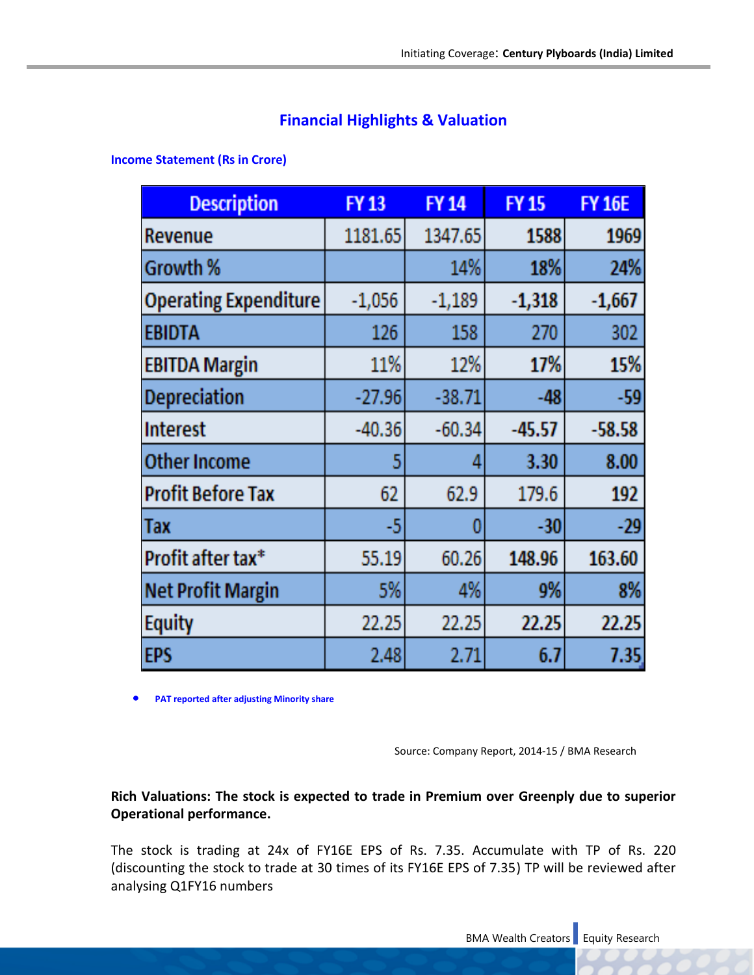## **Financial Highlights & Valuation**

**Income Statement (Rs in Crore)**

| <b>Description</b>           | <b>FY13</b> | <b>FY14</b> | <b>FY15</b> | <b>FY 16E</b> |
|------------------------------|-------------|-------------|-------------|---------------|
| Revenue                      | 1181.65     | 1347.65     | 1588        | 1969          |
| Growth %                     |             | 14%         | 18%         | 24%           |
| <b>Operating Expenditure</b> | $-1,056$    | $-1,189$    | $-1,318$    | $-1,667$      |
| <b>EBIDTA</b>                | 126         | 158         | 270         | 302           |
| <b>EBITDA Margin</b>         | 11%         | 12%         | 17%         | 15%           |
| Depreciation                 | $-27.96$    | $-38.71$    | $-48$       | -59           |
| <b>Interest</b>              | $-40.36$    | $-60.34$    | $-45.57$    | $-58.58$      |
| <b>Other Income</b>          | 5           | Д           | 3.30        | 8.00          |
| <b>Profit Before Tax</b>     | 62          | 62.9        | 179.6       | 192           |
| <b>Tax</b>                   | -5          | C           | -30         | $-29$         |
| Profit after tax*            | 55.19       | 60.26       | 148.96      | 163.60        |
| <b>Net Profit Margin</b>     | 5%          | 4%          | 9%          | 8%            |
| <b>Equity</b>                | 22.25       | 22.25       | 22.25       | 22.25         |
| EPS                          | 2.48        | 2.71        | 6.7         | 7.35          |

**PAT reported after adjusting Minority share**

Source: Company Report, 2014-15 / BMA Research

**Rich Valuations: The stock is expected to trade in Premium over Greenply due to superior Operational performance.** 

The stock is trading at 24x of FY16E EPS of Rs. 7.35. Accumulate with TP of Rs. 220 (discounting the stock to trade at 30 times of its FY16E EPS of 7.35) TP will be reviewed after analysing Q1FY16 numbers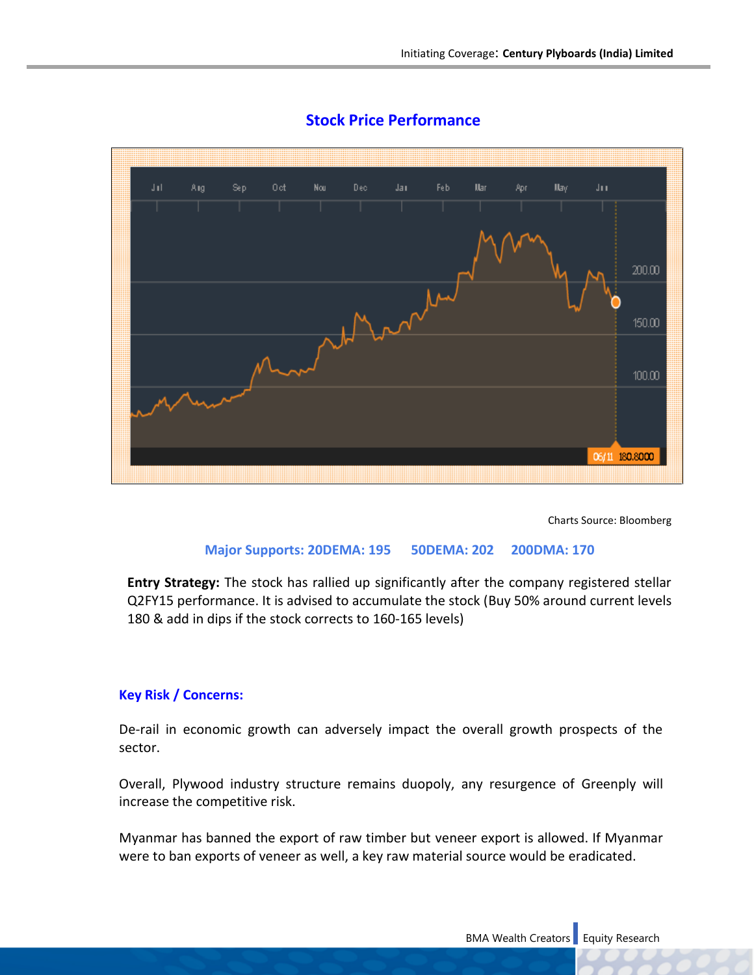

## **Stock Price Performance**

Charts Source: Bloomberg

#### **Major Supports: 20DEMA: 195 50DEMA: 202 200DMA: 170**

**Entry Strategy:** The stock has rallied up significantly after the company registered stellar Q2FY15 performance. It is advised to accumulate the stock (Buy 50% around current levels 180 & add in dips if the stock corrects to 160-165 levels)

#### **Key Risk / Concerns:**

De-rail in economic growth can adversely impact the overall growth prospects of the sector.

Overall, Plywood industry structure remains duopoly, any resurgence of Greenply will increase the competitive risk.

Myanmar has banned the export of raw timber but veneer export is allowed. If Myanmar were to ban exports of veneer as well, a key raw material source would be eradicated.